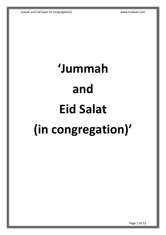# **'Jummah and Eid Salat (in congregation)'**

Page 1 of 23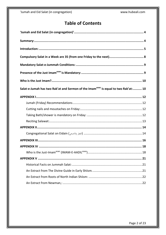#### **Table of Contents**

| Salat-e-Jumah has two Rak'at and Sermon of the Imam <sup>asws</sup> is equal to two Rak'at: 10 |
|------------------------------------------------------------------------------------------------|
|                                                                                                |
|                                                                                                |
|                                                                                                |
|                                                                                                |
|                                                                                                |
|                                                                                                |
| Congregational Salat on Eidain (الفطر والاضحى) Congregational Salat on Eidain (الفطر والاضحى)  |
|                                                                                                |
|                                                                                                |
|                                                                                                |
|                                                                                                |
|                                                                                                |
|                                                                                                |
|                                                                                                |
|                                                                                                |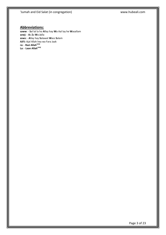#### **Abbreviations:**

**saww**: - **S**al lal la ho **A**llay hay **W**a Aal lay he **W**asallam **azwj:** - **A**z **Z**a **W**a **J**alla **asws:** - **A**llay hay **S**alawat **W**ass **S**alam **AJFJ:** Ajal Allah hey wa Fara Jaak **ra:** - **Razi Allahazwj La:** - **Laan Allahazwj**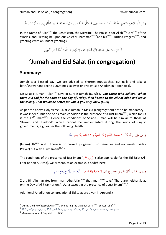بِسْمِ اللَّهِ الرَّحْمنِ الرَّحِيمِ الْحَمْدُ لِلَّهِ رَبِ الْعالَمِين, وَ صَلَّى اللَّهُ عَلى سَيِّدِنَا مُحَمَّدٍ وَ آلِهِ الطَّاهِرِين, وَسَلَّمَ تَسْلِيماً. ْ ب ِ ِ ِ ل ا<br>ا .<br>. َ لَّ  $\ddot{\phantom{0}}$ </sub><br>د <u>ہ</u> ِ َ **ٍ** .<br>. ن ِ ي ليو.  $\ddot{\phantom{0}}$ ِ ا  $\ddot{\phantom{0}}$ َ ِ ْ ت

In the Name of Allah<sup>azwj</sup> the Beneficent, the Merciful. The Praise is for Allah<sup>azwj</sup> Lord<sup>azwj</sup> of the Worlds, and Blessing be upon our Chief Muhammad<sup>saww</sup> and his<sup>saww</sup> Purified Progeny<sup>asws</sup>, and greetings with abundant greetings.

> اَللَّهُمَّ صَلِّ عَلى مُحَمَّدٍ وَّآلِ مُحَمَّدٍ وَّعَجِّلْ فَرَجَهُمْ وَالْعَنْ أَعْدَائَهُمْ اَجْمَعِيْن **ٍ** گ<br>ا  $\frac{1}{2}$ ِ<br>ٍو ا ْ  $\overline{\phantom{a}}$ ْ َ ْ َ َ <u>ا</u>  $\overline{a}$

# <span id="page-3-0"></span>**'Jumah and Eid Salat (in congregation)**'

#### <span id="page-3-1"></span>**Summary:**

Jumah is a Blessed day, we are advised to shorten moustaches, cut nails and take a bath/shower and recite 1000 times Salawat on Friday (see Ahadith in Appendix I).

On Salat-e-Jumah, Allah<sup>azwj</sup> Says in Sura-e-Jumah (62:9): *O you those who believe! When there is a call for the Salat on the day of Friday, then hasten to the Zikr of Allah and leave the selling. That would be better for you, if you only knew [62:9]*

As per the above Holy Verse, Salat-e-Jumah in Masjid (congregation) has to be mandatory – it was indeed<sup>1</sup> but one of its main condition is the presence of a Just Imam<sup>asws</sup>, which for us is the  $12^{th}$  Imam<sup>ajfj</sup>! Hence the conditions of Salat-e-Jumah will be similar to those of 'Hukam and 'Hadood', which cannot be implemented during the reins of unjust governments, e.g., as per the following Hadith:

> وَ عَنْ عَلِيٍّ ع أَنَّهُ قَالَ: لَا يَصْلُحُ الْحُكْمُ وَ لَا الْحُدُودُ وَ لَا الْحُمُعَةُ إِلَّا بِإِمَامٍ عَدْل ن<br>ا ِ َ ْ َ ي َ َ َ إ ام<br>ا ِ

(Imam) Ali<sup>asws</sup> said: There is no correct judgement, no penalties and no Jumah (Friday Prayer) but with a Just Imam<sup>asws</sup>.<sup>2</sup>

The conditions of the presence of Just Imam (إِمَامٍ عَدْلٍ) is also applicable for the Eid Salat (Al-ام<br>ا ِ إ Fitar nor on Al-Azha), we present, as an example, a hadith here;

> وَ رَوَى زُرَارَةُ بْنُ أَعْيَنَ عَنْ أَبِي جَعْفَرٍ ع قَالَ: لَا صَلَاةَ يَوْمَ الْفِطْرِ وَ الْأَضْحَى إِلَّا مَعَ إِمَامٍ عَادِلٍ. َ ُمُ **ٔ** َ ْ ب <u>َ</u>ّ َ َ َ ة<br>ا ا<br>ا ْ ليا<br>ا ِ ∫<br>≃ َ ام<br>ا ِ إ  $\zeta$ ا<br>ا َ

Zrara Bin Ain narrates from Imam Abu Jafar asws that Imam<sup>asws</sup> says:" There are neither Salat on the Day of Al-Fitar nor on Al-Azha except in the presence of a Just Imam<sup>asws</sup>.<sup>3</sup>

Additional Ahadith on congregational Eid salat are given in Appendix II.

 $^1$  During the life of Rasool Allah<sup>saww</sup>, and during the Caliphat of Ali<sup>asws</sup> Ibn Abi Talib<sup>asws</sup>

 $^2$  ,مستدرك الوسائل و مستنبط المسائل، ج6، ص: 13 ,بحار الأنوار (ط – بيروت)، ج86، ص: 256 ,دعائم الإسلام، ج1، ص: 182  $\,$ 

 $3$  Manlayazahoor ul Faqi Vol-1 H. 1456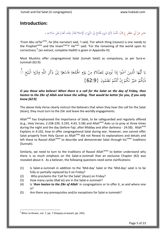#### <span id="page-4-0"></span>**Introduction:**

جَابِرٍ عَنْ أَبِي جَعْفَرٍ ع قَالَ: قُلْتُ لِأَيِّ شَيْءٍ يُخْتَاجُ إِلَى النَّبِيِّ وَ الْإِمَام؟ فَقَالَ لِبَقَاءِ الْعَالَمَ عَلَى صَلَاحِهِ ،<br>. َ َ ْ َ ْ َ ْ ا<br>ا ام<br>ا َ ِ إ <u>ً</u> ت ْ ِ<br>ءِ ∫<br>} ام<br>ا َ َ ِ نم<br>عم ٔ ب ِ ة<br>أ

'From Abu Ja'far<sup>asws</sup>, he (the narrator) said, 'I said, 'For which thing (reason) is one needy to the Prophet<sup>saww</sup> and the Imam<sup>asws</sup>?' He<sup>asws</sup> said: 'For the remaining of the world upon its correctness.<sup>4</sup> (an extract, complete Hadith is given in Appendix III)

Most Muslims offer congregational Salat (Jumah Salat) as compulsory, as per Sura-e-Jummah (62:9):

ا أَيُّهَا الَّذِينَ آمَنُوا إِذَا نُودِيَ لِلصَّلَاةِ مِنْ يَوْمِ الجُمُعَةِ فَاسْعَوْا إِلَىٰ ذِكْرِ اللَّهِ وَذَرُوا الْبَيْعَ كَ<br>. َ ِ  $\frac{1}{2}$  $\int$ <u>ٔ</u> َ ْ <u>،</u> <u>تة</u> َ **ٍ** <u>ٔ</u> يا<br>. .<br>-<br>- $\overline{\phantom{a}}$  $\ddot{\dot{\epsilon}}$ ل ل  $\ddot{\cdot}$ ِ و<br>م  $\overline{\phantom{a}}$  $\ddot{\varsigma}$ َ يا<br>. ي  $\zeta$ **ٔ** ي  $\ddot{\cdot}$ ذَٰلِكُمْ خَيْرٌ لَكُمْ إِنْ كُنْتُمْ تَعْلَمُونَ {62:9} **و** ْ و<br>ته :<br>. ا إ ْ **ٔ** َ ِ<br>ل ل

*O you those who believe! When there is a call for the Salat on the day of Friday, then hasten to the Zikr of Allah and leave the selling. That would be better for you, if you only knew [62:9]*

The above Holy Verse clearly instruct the believers that when they hear the call for the Salat (Azan), they must turn to the Zikr and leave the worldly engagements.

Allah<sup>azwj</sup> has Emphasised the importance of Salat, to be safeguarded and regularly offered (e.g., Holy Verses; 2:238-239, 3:193, 4:43, 5:58) and Allah<sup>azwj</sup> Asks us to pray at three times during the night and the day (before Fajr, after Midday and after darkness - 24:58). Allah<sup>azwj</sup> Explains in 4:102, how to offer congregational Salat during war. However, one cannot offer Salat properly from Holy Quran as Allah<sup>azwj</sup> did not Reveal its explanations and details and left these to Rasool Allah<sup>saww</sup> to describe and demonstrate Salat through his<sup>saww</sup> traditions (Sunnah).

Similarly, we need to turn to the traditions of Rasool Allah<sup>saww</sup> to better understand why there is so much emphasis on the Salat-e-Jummah that an exclusive Chapter (62) was revealed about it. As a believer, the following questions need some clarifications:

- (1) Is Salat-e-Jummah in addition to the 'Mid-day' Salat or the 'Mid-day' salat is to be fully or partially replaced by it on Friday?
- (2) Who proclaims the 'Call for the Salat' (Azan) on Friday?
- (3) How many cycles (Rak'at) are in the Salat-e-Jummah?
- (4) Is '*then hasten to the Zikr of Allah*' in congregations or to offer it, as and where one is?
- (5) Are there any prerequisites and/or exceptions for Salat-e-Jummah?

<sup>1</sup>  $^4$  Bihar-ul-Anwar, vol. 7, pp. 7 (Haqaiq-ul-wasait, pp. 245).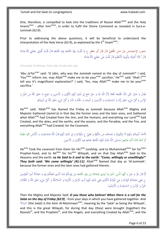One, therefore, is compelled to look into the traditions of Rasool Allah<sup>saww</sup> and the Holy Imams<sup>asws</sup> - after him<sup>saww</sup>, in order to fulfil the Divine Command as revealed in Sura-e-Jummah (62:9).

Prior to addressing the above questions, it will be beneficial to understand the interpretation of the Holy Verse (62:9), as explained by the 5<sup>th</sup> Imam<sup>asws</sup>:

ختص، الإختصاص عَنْ جَابِرٍ الجُعْفِيِّ قَالَ قَالَ أَبُو جَعْفَرٍ ع لِمَ سُمِّيَتْ يَوْمُ الجُمُعَةِ يَوْمَ الجُمُعَةِ قَالَ قُلْتُ كُخْبِرُنِي جَعَلَنِيَ اللَّهُ فِدَاكَ<br>مَسَلَمَ الْمُحْسَنَ مَنْ جَابِرٍ الجُعْفِيِّ قَال َ **ٔ** َ َ ن<br>أ ِ و<br>ا َ ِ َ  $\frac{1}{2}$ َ َ لْ َ ِ َ َ **ٔ** اپ<br>ا ¦ َ **ٔ** با<br>ا  $\overline{a}$ ِ قَالَ أَ فَلَا أُخْبِرُكَ بِتَأْوِيلِهِ الْأَعْظَمِ قَالَ قُلْتُ بَلَى جَعَلَنِيَ اللَّهُ فِدَاكَ ا ا<br>ا ِ َ ل<br>! َ َ ا<br>ا َ ِ J ٔ<br>ا ت ِ **ٔ** َ

(The book) 'Al-Ikhtisas', from Jabir Al Jufy who said,

'Abu Ja'far<sup>asws</sup> said: 'O Jabir, why was the *Jummah* named as the day of *Jummah*?' I said, 'You<sup>saww</sup> inform me, may Allah<sup>azwj</sup> make me to be your<sup>asws</sup> sacrifice.' He<sup>asws</sup> said: 'Shall l<sup>asws</sup> tell you it's magnificent explanation?' I said, 'Yes, may Allah<sup>azwj</sup> make me to be your<sup>asws</sup> sacrifice.'

#### ِ فَقَالَ يَا جَابِرُ سَمَّى اللَّهُ الجُمُعَةَ جُمُعَةً لِأَنَّ اللَّهَ عَزَّ وَ جَلَّ جَمَعَ فِي ذَلِكَ الْيَوْمِ الْأَوَّلِينَ وَ الْآخِرِينَ وَ جَمِيعَ مَا خَلَقَ اللَّهُ مِنَ الْجِنِّ وَ<br>مستقى اللَّهُ اللَّهُ الصَّلامُ ِ ْ ان<br>ا ِ  $\zeta$ َ </sub> ا<br>ا َ َ َ ¦ َ َيا نم<br>عم َ ِ<br>ृ َ َ ام<br>ا  $\zeta$ َ :<br>ا َ ْ الْإِنْسِ وَ كُلَّ شَيْءٍ خَلَقَ رَبُّنَا وَ السَّمَاوَاتِ وَ الْأَرَضِينَ وَ الْبِحَارَ وَ الْحَنَّةَ وَ النَّارَ وَ كُلَّ شَيْءٍ خَلَقَ اللَّهُ فِي الْمِيثَاقِ </sub> .<br>ا ن َ ِ<br>ء ْ َ ً<br>ا َ ُ<br>ا َ .<br>ن َ َ ُن<br>ا </sub> ا َ **ै** َ :<br>أ َ  $\overline{\phantom{0}}$ <u>بُ</u> َ َ ।<br>S

He<sup>asws</sup> said: 'Allah<sup>azwj</sup> has Named the Friday as *Jummah* because Allah<sup>azwj</sup> Mighty and Majestic Gathered (Jamm'a) in that day the former ones and the later ones, and Gathered what Allah<sup>azwj</sup> had Created from the Jinn, and the Humans, and everything our Lord<sup>azwj</sup> had Created, and the skies, and the earths, and the oceans, and the Paradise, and the Fire, and everything Allah<sup>azwj</sup> had Created, for the Covenant.

#### ِ .<br>فَأَخَذَ الْمِيثَاقَ مِنْهُمْ لَهُ بِالرُّبُوبِيَّةِ وَ لِمُحَمَّدٍ صِ بِالنُّبُوَّةِ وَ لِعَلِيٍّ عِ بِالْوَلايَةِ وَ فِي ذَلِكَ الْيَوْمِ قَالَ اللَّهُ لِلسَّمَاوَاتِ وَ الْأَرْضِ ائْتِيا طَوْعاً َ  $\ddot{z}$ یا<br>ا َ ِ ِ َ ِ ل َ ِ ِ َ ∫<br>L ل َ ï ي ب ∫ ب <sup>1</sup> ن ِ َ َ .<br>أ ا َ **ृ** ِ ل َ ِ ،<br>م ا<br>ا َ ر<br>ا ا<br>ا ،<br>' ∫<br>A ت ْ أَوْ كَرْهاً قالَتا أَتَيْنا طائِعِينَ فَسَمَّى اللَّهُ ذَلِكَ الْيَوْمَ الجُمُعَةَ لِجَمْعِهِ فِيهِ الْأَوَّلِينَ وَ الْآخِرِينَ ِ ِ **ٔ** ي <u>بّ</u> <u>ّا</u> <u>ٔ</u> َ َ ِ ∫ ِ ِ ِ ا<br>ا َ َ َ **ٔ** ا<br>ا l ا<br>ا

He<sup>azwj</sup> Took the covenant from them for His<sup>azwj</sup> Lordship, and to Muhammad<sup>saww</sup> for his<sup>saww</sup> Prophet-hood, and to Aliasws for hisasws Wilayah, and on that Day Allahazwj Said to the Heavens and the earth: *so He Said to it and to the earth: "Come, willingly or unwillingly!" They both said: 'We come willingly' [41:11]*. Allah<sup>azwj</sup> Named that day as 'Al-Jummah', because the former ones and the later ones had gathered therein.

ٍ ) مُّ قَالَ عَزَّ وَ حَلَ يا أَيُّهَا الَّذِينَ آمَنُوا إِذا نُودِيَ لِلصَّلاةِ مِنْ يَوْمِ الْحُمُعَةِ مِنْ يَوْمِكُمْ هَذَا الَّذِي جَمَعَكُمْ فِيهِ وَ الصَّلاةُ أَمِيرُ الْمُؤْمِنِينَ<br>\* َ </sub> ُ<br>أ <u>ن</u> ِ َ ∣<br>P ْ ٔ, ْ ِ<br>∕ ِ Į ل َ ∫<br>≃ ِ ن ام<br>ا َ ِ َ ن ِ ْ ِ<br>ृ َ ∫<br>} ِ ْ َ ∫<br>∪ َ ْ ∫<br>∧ **ٔ** اب<br>ا ْ ِ ع يَعْنِي بِالصَّلَاةِ الْوَلَايَةَ وَ هِيَ الْوَلَايَةُ الْكُبْرَى فَفِي ذَلِكَ الْيَوْمِ أَتَتِ الرُّسُلُ وَ الْأَنْبِيَاءُ وَ الْمَلَائِكَةُ وَ كُلُّ شَيْءٍ خَلَقَ اللَّهُ وَ الثَّقَلَانِ<br>مستقدمات ا<br>ا ي ِ ب ׇׇ֧֧֪֪֦֧֪֪֦֧֦֪֪֦֧֪ׅ֪֪֪֦֧֦֪֪ׅ֦֧ׅ֦֧ׅ֧֪ׅ֧֡֡֟֟֟֟֟֟֟֟֟֟֟֟֟֟֟֟֟֟֡֟֟֟֟֡֟֟֓֕֬֞֟֓֞֟֓֕֓֞֟֓֕֬֓֞֟֩֕֓֟֓֟֓֞֟֟֓֞֟֟֟֓֓֞֟֟֓֞֟֟֩֟֩֟ َ َ ِ ْ َ ِ ∫<br>a ْ ِيا<br>ـ َ َ ِ َ ِيا<br>ا َ ِ ∫<br>¦ ْ ُ ْ َ ِ َ َ َ َ َ ٍ الْجِنُّ وَ الْإِنْسُ وَ السَّمَاوَاتُ وَ الْأَرَضُونَ َ ا َ ا<br>ا َ ن َ

Then the Mighty and Majestic Said: *O you those who believe! When there is a call for the Salat on the day of Friday [62:9]* - from your days in which you have gathered together. And 'الصَّلَاهُ' (the Salat) is the Amir Al-Momineen $^{\text{asws}}$ , meaning by the 'Salat' as being the Wilayah', and this is the great Wilayah, for during that day (they) were brought (together) the Rasools<sup>as</sup>, and the Prophets<sup>as</sup>, and the Angels, and everything Created by Allah<sup>azwj</sup>, and the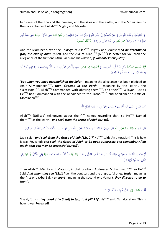two races of the Jinn and the humans, and the skies and the earths, and the Momineen by their acceptance of Allah<sup>azwj</sup> Mighty and Majestic.

ِ وَ الْمُؤْمِنُونَ بِالتَّلْبِيَةِ لِلَّهِ عَزَّ وَ حَلَّ فَامْضُوا إِلَى ذِكْرِ اللَّهِ وَ ذِكْرُ اللَّهِ أَمِير<br>مُؤْمِنِينَ ع وَ وَلَايَتَهُ خَيْرٌ لَكُمْ مِنْ بَيْعَةِ الْأَوَّلِ وَ وَلَايَتِهِ إِنْ كُنْتُمْ تَعْلَمُونَ ِ ِ .<br>أ َ َ ر<br>ا ِ į ل ِ یا<br>ا ي ِ ِ ن ∫<br>∕ ْ </sub> ∫<br>∽ ن ِ<br>ृ ْ ِ<br>∧ ।<br>। ِ َ  $\zeta$ ْ ي ∶ٌ َ **ٔ** اب<br>ا ِ ْ ِ<br>ृ ة<br>أ َ ْ ي َ یہ<br>ا الْمُؤْمِنِينَ ع وَ وَلَايَتَهُ خَيْرٌ لَكُمْ مِنْ بَيْعَةِ الْأَوَّلِ وَ وَلَايَتِهِ إِنْ كُنْتُمْ تَعْلَمُونَ َ ت ُپَا َ َ ِ ن ∫<br>∧ ْ <sup>أ</sup> ∫<br>} ِ ت ِيَّةٍ َ َ ِ َ **ٔ** ي ا<br>ا ْ ِ **ٔ** <sup>أ</sup> ت <u>ّ</u> ِ إ

And the Momineen, with the *Talbiyya* of Allah<sup>azwj</sup> Mighty and Majestic: **so be determined** *(for) the Zikr of Allah [62:9]*, and the Zikr of Allah<sup>azwj</sup> (Ali<sup>asws</sup>) is better for you than the allegiance of the first one (Abu Bakr) and his wilayah, *if you only knew [62:9]*.

فَإِذا قُضِيَتِ الصَّلاةُ يَعْنِي بَيْعَةَ أَمِيرِ الْمُؤْمِنِينَ ع فَانْتَشِرُوا فِي الْأَرْضِ يَعْنِي بِالْأَرْضِ الْأَوْصِيَاءَ أَمَرَ اللَّهُ بِطَاعَتِهِمْ وَ وَلَايَتِهِمْ كَمَا أَمَرَ ؘ<br>֞ ِ ِ ن ِ ْ ِ <u>:</u> َ **ٔ** ي ا<br>ا **ٔ** ا .<br>ا ت ْ ِّفَ<br>أ َ َ ٍ<sup>م</sup> ْ ِ ت ِيَا<br>ا َ َ ْ ِ ت َ ب ر<br>ا ام<br>ا ا<br>ا ∶ٌ <u>ٔ</u> ر<br>ا ِ **ٔ** ُيا بِطَاعَةِ الرَّسُولِ وَ طَاعَةِ أَمِيرِ الْمُؤْمِنِينَ ِ<br>ب ن ∫<br>∕ ْ ∫<br>∕ ِ ر<br>ا َ ِ ر<br>ا ب

'*But when you have accomplished the Salat* – meaning the allegiance has been pledged to Amir Al-Momineen<sup>asws</sup>, *then disperse in the earth* – meaning by the 'earth', the successors<sup>asws</sup>. Allah<sup>azwj</sup> Commanded with obeying them<sup>asws</sup>, and their<sup>asws</sup> Wilayah, just as He<sup>azwj</sup> had Commanded with the obedience to the Rasool<sup>saww</sup>, and obedience to Amir Al-Momineen<sup>asws</sup>.

> كَنَّى اللَّهُ فِي ذَلِكَ عَنْ أَسْمَائِهِمْ فَسَمَّاهُمْ بِالْأَرْضِ وَ ابْتَغُوا فَضْلَ اللَّهِ ِ ٍ ) َ ت ْ َ .<br>ا ِ ب <sup>(</sup> ٔ<br>ا <sup>(</sup> ِ<br>ئا َ ْ J

Allah<sup>azwj</sup> (Utilised) teknonyms about their<sup>asws</sup> names regarding that, so He<sup>azwj</sup> Named them<sup>asws</sup> as the 'earth', and seek from the Grace of Allah [62:10].

قَالَ جَابِرٌ وَ ابْتَغُوا مِنْ فَضْلِ اللَّهِ قَالَ تَحْرِيفٌ هَكَذَا نَزَلَتْ وَ ابْتَغُوا فَضْلَ اللَّهِ عَلَى الْأَوْصِيَاءِ وَ اذْكُرُوا اللَّهَ كَثِيراً لَعَلَّكُمْ تُفْلِحُونَ .<br>أ ٍ<br>پر َ ِ ْ **ٍ** َ ت .<br>أ َ ْ َ  $\overline{a}$ ِ َ َ ِ **∶** ْ َ ِ ٍ )<br>ا ا<br>أ ت ْ َ لَ َ َ َ ِ .<br>م

Jabir said, 'and seek from the Grace of Allah [62:10]?' He<sup>asws</sup> said: 'An alteration! This is how it was Revealed: *and seek the Grace of Allah to be upon successors and remember Allah much, that you may be successful [62:10]*'.

مُّ خَاطَبَ اللَّهُ عَزَّ وَ حَلَّ فِي ذَلِكَ الْمَوْقِفِ مُحَمَّداً ص فَقَالَ يَا مُحَمَّدُ إِذا رَأَوْا الشُّكَّاكُ وَ الْجَاحِدُونَ بِحَارَةً يَعْنِي الْأَوَّلَ أَوْ لَهُواْ يَعْنِي َ نم<br>عم **ٔ** َ J َ </sub> َ َ َ <u>ٔ</u> َ ِ َ َ ً َ اپ<br>ا ا<br>ا ْ ْ ب<br>ا الثَّابِيَ انْصَرَفُوا إِلَيْهَا قَالَ َ َ **ٔ** ِ َ ا<br>ا َ

Then Allah<sup>azwj</sup> Mighty and Majestic, in that position, Addresses Muhammad<sup>saww</sup>, so He<sup>azwj</sup> Said: *And when they see [62:11]* i.e., the doubters and the ungrateful ones, *trade* - meaning the first one (Abu Bakr) *or sport* - meaning the second one (Umar), *they disperse to go to them*'.

> قُلْتُ انْفَضُّوا إِلَيْها قَالَ تَخْرِيفٌ هَكَذَا نَزَلَتْ **ٔ** ِ َ لَ َ َ ن<br>ا

'I said, '(It is): *they break (the Salat) to (go) to it [62:11]'*. He<sup>asws</sup> said: 'An alteration. This is how it was Revealed!

Page 7 of 23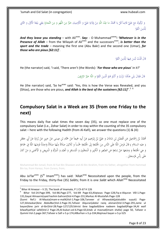وَ تَرَكُوكَ مَعَ عَلِيٍّ قَائِماً قُلْ يَا مُحَمَّدُ ما عِنْدَ اللَّهِ مِنْ وَلَايَةِ عَلِيٍّ وَ الْأُوْصِيَاءِ خَيْرٌ مِنَ اللَّهْوِ وَ مِنَ التَّجارَةِ يَعْنِي بَيْعَةَ الْأَوَّلِ وَ الثَّانِي<br>نُذِينَ اتَّقَوْا پا ي **ٔ** ِ َ ِ ي<br>أ  $\zeta$ ا<br>ا َ َ ِ ا<br>ا ن ِ ا<br>ا **ٔ** َ ِ ي<br>ا ِ یا<br>ا َ <u>ّ</u> ِ َ َ **ٍ** َ ْ َ **ٍ** َ ة<br>أ َ ْ ي ابل<br>ا **ٔ** اب<br>ا ْ لَّذِينَ اتَّقَوْا َ ِ ا ل

And they leave you standing – with Ali<sup>asws</sup>. Say: - O Muhammad<sup>saww</sup>! 'Whatever is in the Presence of Allah – from the Wilayah of Ali<sup>asws</sup> and the successors<sup>asws</sup>, is better than the *sport and the trade* – meaning the first one (Abu Bakr) and the second one (Umar), *for those who are pious [62:11]*'.

> ا <u>ٔ</u> قَالَ قُلْتُ لَيْسَ فِيهَا لِلَّذِينَ اتَّقَوْا َ ِ ا  $\overline{\phantom{a}}$ ِ ً<br>ا .<br>أ

He (the narrator) said, 'I said, 'There aren't (the Words): '*For those who are pious*' in it?'

ا **ٔ** قَالَ فَقَالَ بَلَى هَكَذَا نَزَلَتْ وَ أَنْتُمْ هُمُ الَّذِينَ اتَّقَوْا وَ اللَّهُ خَيْرُ الرَّازِقِينَ.<br>-َ ِ ْ ت ْ َ لَ َ َ ِ ْ َ

He (the narrator) said, 'So he<sup>asws</sup> said: 'Yes, this is how the Verse was Revealed, and you (Shias), are those who are pious, and Allah is the best of the sustainers [62:11]'<sup>'.56</sup>

#### <span id="page-7-0"></span>**Compulsory Salat in a Week are 35 (from one Friday to the next)**

This means daily five salat times the seven day (35), so one must replace one of the compulsory Salat (i.e., Zohar Salat) in order to stay within the counting of the 35 compulsory salat – here with the following Hadith (from Al-Kafi), we answer the questions (1) & (4):

مُحَمَّدُ بْنُ إِسْمَاعِيلَ عَنِ الْفَضْلِ بْنِ شَاذَانَ وَ عَلِيُّ بْنُ إِبْرَاهِيمَ عَنْ أَبِيهِ جَمِيعاً عَنْ حَمَّادِ بْنِ عِيسَى عَنْ حَرِيزٍ عَنْ زُرَارَةَ عَنْ أَبِي جَعْفَرٍ ْ ب .<br>; ِ ِ .<br>.<br>. َ ِ َ .<br>. ِ إ ب ِ َ َ ْ َ  $\zeta$ ٔ<br>ا ِ إ ب .<br>-<br>- $\ddot{\phantom{0}}$ ِ ْ َ .<br>-<br>-َ َ .<br>.<br>. َ ( عليه السلام ) قَالَ فَرَضَ اللَّهُ عَلَى النَّاسِ مِنَ الجُمْعَةِ إِلَى الجُمْعَةِ خَمْساً وَ ثَلَاثِينَ صَلاةً مِنْهَا صَلَاةً وَاحِدَةً فَرَضَهَا اللَّهُ فِي جَمَاعَةٍ<br>مَا الْعَلَامُ الْقَالَمَ الْقَالِمِينَ مِنَ الْج  $\triangleleft$ ِ  $\ddot{\phantom{0}}$ ٍ<br>با َ <u>ہ</u> َ ِ إ ِ َ َ ِ َ ِّفَ  $\ddot{a}$ َ َ َ َ  $\ddot{\phantom{0}}$ .<br>.<br>. وَ هِيَ الْحُمُعَةُ وَ وَضَعَهَا عَنْ تِسْعَةٍ عَنِ الصَّغِيرِ وَ الْكَبِيرِ وَ الْمُحْنُونِ وَ الْمُسَافِرِ وَ الْعَبْدِ وَ الْمَرْأَةِ وَ الْمَرِيضِ وَ الْأَعْمَى وَ مَنْ كَانَ  $\triangleleft$ َ َ َ َ ِ َ  $\overline{a}$ َ  $\overline{a}$ َ  $\ddot{c}$ ر<br>. ٍ<br>م َ ∫<br>∙ ْ ب َ َ ِ  $\ddot{\phantom{0}}$ َ ن ْ َ َ ِ<br>قبا َ *<u>2</u>* َ ْ ِ .<br>-<br>- $\overline{\phantom{a}}$ َ عَلَى رَأْسِ فَرْسَخَيْنِ .<br>. .<br>. َ

Muhammad Bin Ismail, from Al Fazl Bin Sh*azaan* and Ali Bin Ibrahim, from his father, altogether from Hammad Bin Isa, from Hareyz, from Zurara, from;

Abu Ja'far<sup>asws</sup> (5<sup>th</sup> Imam<sup>asws</sup>) has said: 'Allah<sup>azwj</sup> Necessitated upon the people, from the Friday to the Friday, thirty-five (35) Salats; from it is one Salat which Allah<sup>azwj</sup> Necessitated

<u>.</u>

 $<sup>5</sup>$  Bihar Al Anwaar – V 23, The book of Imamate, P 1 Ch 67 H 126</sup>

<sup>6</sup> Bihar Vol-24.Page-399, Vol-86.Page-277, Vol-89 Page-63,Aliqtasas Page-128,Fiq-e-Alquran V0l-1.Page-131,Gayat Almaarm(syed hashim bahrani)Vol-4.Page-231,Markaz Al-Mustafah.Page-128

<sup>(</sup>Sunni Ref:)- Al-Mauta(imam-e-malik)Vol-1.Page-106,Tanveer ul Alhawalak(jalaluddin suyuti) Page-127,Alistaskar(ibne AbdulBar)Vol-2.Page-35,Tafseer Alquran(abdul raziq alsinani)Vol-3.Page-291,Jame ul bayan(ibne jarir al-tbri)Vol-28.Page-127/129,fahrist ibne bagdadi(ibne nadeem bagdadi)Page-34,Al waif bilwafiyath(al safdi)Vol-2 Page-29,Al-bukari.vol-6.Page-63,kitab ul masnad(imam shafai) page 50, Tafseer e Qummi Vol-2.page-367,Tafseer e Safi v-5.p-174,AlBurhan v-5.p-334,Majmaul bayan v-5.p-525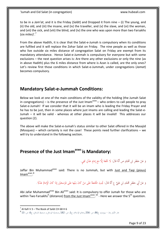to be in a *Jam'at*, and it is the Friday (*Salāt*) and Dropped it from nine – (i) The young, and (ii) the old, and (iii) the insane, and (iv) the traveller, and (v) the slave, and (vi) the woman, and (vii) the sick, and (viii) the blind, and (iv) the one who was upon more than two Farsakhs (six miles)'. $7$ 

From the above Hadith, it is clear that the Salat-e-Jumah is compulsory when its conditions are fulfiled and it will replace the Zohar Salat on Friday. The nine people as well as those who live outside six miles distance of congregation Salat on Friday are exempt from its mandatory attendance. Hence Salat-e-Jummah is compulsory for everyone but with some exclusions – the next question arises is: Are there any other exclusions or only the nine (as in above Hadith) plus the 6 miles distance from where is Azan is called, are the only ones? Let's review first those conditions in which Salat-e-Jummah, under congregations (*Jamat*) becomes compulsory.

#### <span id="page-8-0"></span>**Mandatory Salat-e-Jummah Conditions:**

Below we look at one of the main conditions of the validity of the holding (the Jumah Salat in congregations) – is the presence of the Just Imam<sup>asws</sup> – who orders to call people to pray Salat-e-Jumah! If we consider that it will be an imam who is leading the Friday Prayer and he has to be just, then in some places where just imams are calling and leading the Salat-e-Jumah – it will be valid - whereas at other places it will be invalid! This addresses our question (2).

The above will make the Salat-e-Jumah's status similar to other Salat offered in the Masajid (Mosques) – which certainly is not the case! These points need further clarifications – we will try to understand in the following section.

#### <span id="page-8-1"></span>**Presence of the Just Imamasws is Mandatory:**

وَ عَنْ جَعْفَرِ بْنِ مُحَمَّدٍ ص أَنَّهُ قَالَ: لَا جُمُعَةَ إِلَّا مَعَ إِمَامٍ عَدْلٍ تَقِيٍ. ْ َ **ٔ** َ َ َ َ إ  $\zeta$ ام<br>أ ام<br>ا ِ إ ِ

Jaffar Bin Muhammad<sup>asws</sup> said: There is no Jummah, but with <u>Just and Taqi (pious</u>) lmam<sup>asws</sup>.<sup>8</sup>

> وَ عَنْ أَبِي جَعْفَرٍ مُحَمَّدِ بْنِ عَلِيٍّ عِ أَنَّهُ قَالَ: تَجِبُ الجُمُعَةُ عَلَى مَنْ كَانَ مِنْهَا عَلَى فَرْسَخَيْنِ إِذَا كَانَ الْإِمَامُ عَدْلًا. َ ِ َ ْ ب ِ ُمُ **ٔ** َ ْ َ َ ر<br>ا ْ ام<br>ا َ ن ر<br>ا ر<br>ا ِ ام<br>ا

Abi Jafar Muhammad<sup>asws</sup> Bin Ali<sup>asws</sup> said: It is compulsory to offer Jumah for those who are within Two Farsakhs<sup>9</sup> (distance) <u>from the Just Imam<sup>asws</sup>.</u><sup>10</sup> - Here we answer the 5<sup>th</sup> question.

<u>.</u>

 $^7$  Al Kafi V 3 – The Book of Salāt CH 68 H 6

 $^8$  الأنوار (ط – بيروت)، ج $86$ ، ص: 256 ,دعائم الإسلام، ج1، ص: 182 ,مستدرك الوسائل و مستنبط المسائل، ج6، ص: 13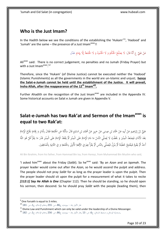#### <span id="page-9-0"></span>**Who is the Just Imam?**

In the Hadith below we see the conditions of the establishing the 'Hukam'<sup>11</sup>, 'Hadood' and 'Jumah' are the same - the presence of a Just Imam<sup>asws</sup>!!

> عَنْ عَلِيٍّ ع أَنَّهُ قَالَ: لَا يَصْلُحُ الْحُكْمُ وَ لَا الْحُدُودُ وَ لَا الْحُمْعَةُ إِلَّا بِإِمَامٍ عَدْل َ ِ ي<br>أ ْ ي َ َ َ إ ام<br>ا ِ

Ali<sup>asws</sup> said: There is no correct judgement, no penalties and no Jumah (Friday Prayer) but with a Just Imam<sup>asws</sup>.<sup>12</sup>

Therefore, since the 'Hukam' (of Divine Justice) cannot be executed neither the 'Hadood' (Islamic Punishments) as all the governments in the world are un-Islamic and unjust; **hence the Salat-e-Jumah cannot be held until the establishment of the Justice. It will prevail, Insha Allah, after the reappearance of the 12th Imamajfj .**

Further Ahadith on the recognition of the Just Imam<sup>asws</sup> are included in the Appendix IV. Some historical accounts on Salat e Jumah are given in Appendix V.

#### <span id="page-9-1"></span>**Salat-e-Jumah has two Rak'at and Sermon of the Imamasws is equal to two Rak'at:**

عَلِيُّ بْنُ إِبْرَاهِيمَ عَنْ إَبِيهِ عَنْ حَمَّادِ بْنِ عِيسَى عَنْ حَرِيزٍ عَنْ مُحَمَّدِ بْنِ مُسْلِمٍ قَالَ سَأَلْتُهُ عَنِ الجُمُعَةِ فَقَالَ بِأَذَانٍ وَ إِقَامَةٍ يَخْرُجُ الْإِمَامُ ِ َ َ  $\ddot{\phantom{0}}$ َ ِ ــ<br>أ **ٔ** ب ∫<br>∙ ْ َ  $\ddot{\phantom{0}}$ ْ ب ِ ِ ِ<br>پ ْ ا ِ َ .<br>أ ِ إ ب  $\overline{\phantom{a}}$ <u>ۃ</u>  $\overline{\phantom{a}}$ َ ِ إ َ ِ نم<br>عم ِ َ بَعْدَ الْأَذَانِ فَيَصْعَدُ الْمِنْبَرَ وَ يَخْطُبُ لَا يُصَلِّي النَّاسُ مَا دَامَ الْإِمَامُ عَلَى الْمِنْبَر قَالِمَ الْمِنْبَرِ قَدْرَ مَا يَقْرَأُ قُلْ هُوَ اللَّهُ  $\overline{\phantom{a}}$ َ .<br>. .<br>ا <u>:</u> ن َ ي ِّبَا **ـ** و<br>ا . َ **ٔ** َ ب<br>ا  $\overline{\phantom{a}}$ َ ∫<br>√ י, ن َ  $\overline{\phantom{a}}$ ب<br>ا ∫<br>√ י, ن َ  $\overline{\phantom{a}}$ َ ٔ<br>ا ا<br>ا أَخَذٌ ثُمَّ يَقُومُ فَيَفْتَتِحُ خُطْبَتَهُ ثُمَّ يَنْزِلُ فَيُصَلِّي بِالنَّاسِ ثُمَّ يَقْرَأُ بِحِمْ فِي الزَّكْعَةِ الْأُولَى بِالجُمُعَةِ وَ فِي الثَّانِيَةِ بِالْمُنَافِقِينَ. ï َ ْ َ ُبا<br>ا  $\overline{\phantom{a}}$ ي َ **:** ن .<br>ا : ت ؘ ِ ت :با ت .<br>أ ا<br>ا َ ِ ِ .<br>. ن ِ ب ة<br>إ **ٔ** ي  $\ddot{u}$ َ ة<br>إ َ ِ ب

Ali Bin Ibrahim, from his father, from Hammad Bin Isa, from Hareyz, from Muhammad Bin Muslim who said,

'I asked him<sup>asws</sup> about the Friday (Salat). So he<sup>asws</sup> said: 'By an *Azan* and an *Iqamah*. The prayer leader would come out after the *Azan*, so he would ascend the pulpit and address. The people should not pray *Salāt* for as long as the prayer leader is upon the pulpit. Then the prayer leader should sit upon the pulpit for a measurement of what it takes to recite *[112:1] Say He Allah is One* (Chapter 112). Then he should be standing, so he should open his sermon, then descend. So he should pray *Salāt* with the people (leading them), then

<sup>&</sup>lt;sup>9</sup> One Farsakh is equal to 3 miles.

 $^{10}$  بحار الأنوار (ط – بيروت)، ج86، ص: 255 ,دعائم الإسلام، ج1، ص: 181 10

 $11$  Divine Law and Punishment which can only be valid under the leadership of a Divine Messenger.

 <sup>,</sup>مستدرك الوسائل و مستنبط املسائل، ج،6 ص: 13 ,حبار اْلنوار )ط - بريوت(، ج،86 ص: 256 ,دعائم اإلسَلم، ج،1 ص: 182 <sup>12</sup>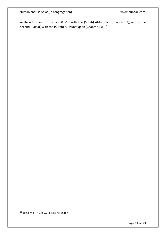recite with them in the first *Rak'at* with the (Surah) Al-Jummah (Chapter 62), and in the second (*Rak'at*) with the (Surah) Al-Munafiqeen (Chapter 63)'.<sup>13</sup>

1  $^{13}$  Al Kafi V 3 – The Book of Salāt CH 70 H 7

Page 11 of 23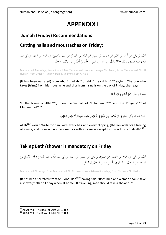# **APPENDIX I**

#### <span id="page-11-1"></span><span id="page-11-0"></span>**Jumah (Friday) Recommendations**

#### <span id="page-11-2"></span>**Cutting nails and moustaches on Friday:**

ي ِ مُحَمَّدُ بْنُ يَحْيَى عَنْ أَحْمَدَ بْنِ مُحَمَّدٍ عَنِ الْحُسَيْنِ بْنِ سَعِيدٍ عَنْ مُحَمَّدِ بْنِ الْحُصَي<br>بَرَ مَنْ مُحَمَّدٍ بْنِ الْعَلاءِ عَنْ أَحْمَدَ بْنِ مُحَمَّدٍ مَنْ الْحُصَيْنِ عَنْ لَحَصَيْنِ عَنْ عُمَرَ ا ٔ<br>أ ْ ب َ .<br>∙ ْ ب **ـ** .<br>.<br>. َ ب ِ ْ ب َ .<br>-<br>-ِ َ ْ ب ِ ْ َ َ ٍ<br>م ْ ْ ب ِ .<br>.<br>. **ٍ** اللَّهِ ( عليه السلام ) قَالَ سَمِعْتُهُ يَقُولُ مَنْ أَخَذَ مِنْ شَارِبِهِ وَ قَلَّمَ مِنْ أَظْفَارِهِ يَوْمَ الْجُمُعَةِ ثُمَّ قَالَ.  $\ddot{\epsilon}$ َ َ <u>ٔ</u> با<br>ا .<br>م .<br>.<br>. **∕** ا َ َ ِ ِ َ ْ ا<br>ا َ ت ْ ن<br>نا ِ َ

Muhammad Bin Yahya, from Ahmad Bin Muhammad, from Al Husayn Bin Saeed, from Muhammad Bin Al Husayn, from Umar Al Jurjany, from Muhammad Bin Al A'ala,

(It has been narrated) from Abu Abdullah<sup>asws</sup>, said, 'I heard him<sup>asws</sup> saying: 'The one who takes (trims) from his moustache and clips from his nails on the day of Friday, then says,

> .<br>∙ بِسْمِ اللَّهِ عَلَى سُنَّةِ مُحَمَّدٍ وَ آلِ مُحَمَّدٍ َ **ٍ** ; َ ِ ْ ب

'In the Name of Allah<sup>azwj</sup>, upon the Sunnah of Muhammad<sup>saww</sup> and the Progeny<sup>asws</sup> of Muhammad<sup>saww</sup>

> ْكَتَبَ اللَّهُ لَهُ بِكُلِّ شَعْرَةٍ وَ كُلِّ قُلاَمَةٍ عِتْقَ رَقَبَةٍ وَ ۖ لَمْ يَمْرَضْ مَرَضاً يُصِيبُهُ إِلَّا مَرَضَ الْمَوْتِ ِ ب َ ْ **ै**  $\overline{\phantom{a}}$ إ ا<br>ا **أ** َ *<u>2</u>* َ ب َ َ َ ت *<u>2</u>*  $\overline{\phantom{a}}$ َ َ و<br>ا

Allah<sup>azwj</sup> would Write for him, with every hair and every clipping, (the Rewards of) a freeing of a neck, and he would not become sick with a sickness except for the sickness of death'.<sup>14</sup>

#### <span id="page-11-3"></span>**Taking Bath/shower is mandatory on Friday:**

ْ ب َ مُحَمَّدُ بْنُ يَحْيَى عَنْ مُحَمَّدِ بْنِ الْحُسَيْنِ عَنْ صَفْوَانَ بْنِ يَحْيَى عَنْ مَنْصُورِ بْنِ حَازِمٍ عَنْ أَبِي عَبْدِ اللَّهِ ( عليه السلام ) قَالَ الْغُسْلُ يَوْمَ<br>مُ .<br>. **ٍ** َ **ٔ** ن ا<br>ا ْ َ ْ ا َ  $\overline{\phantom{a}}$ ْ ب ِ ْ َ ب ْ ب<br>ا **ٔ** َ ِ ِ الْجُمُعَةِ عَلَى الرِّجَالِ وَ النِّسَاءِ فِي الْحَضَرِ وَ عَلَى الرِّجَالِ فِي السَّفَرِ .<br>. .<br>م َ َ َ ِ  $\ddot{\phantom{0}}$ َ َ َ  $\ddot{\epsilon}$ َ

Muhammad Bin Yahya, from Muhammad Bin Al Husayn, from Safwan Bin Yahya, from Mansour Bin Hazim,

(It has been narrated) from Abu Abdullah<sup>asws</sup> having said: 'Both men and women should take a shower/bath on Friday when at home. If travelling, men should take a shower'.<sup>15</sup>

 $14$  Al Kafi V 3 – The Book of Salāt CH 67 H 2

 $15$  Al Kafi V 3 – The Book of Salāt CH 67 H 3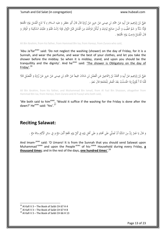عَلِيُّ بْنُ إِبْرَاهِيمَ عَنْ أَبِيهِ عَنْ حَمَّادِ بْنِ عِيسَى عَنْ حَرِيزٍ عَنْ زُرَارَةَ قَالَ قَالَ أَبُو جَعْفَرٍ ( عليه السلام ) لَا تَدَعِ الْغُسْلَ يَوْمَ الْجُمُعَةِ .<br>م ْ َ َ َ َ َ :<br>.<br>. َ  $\ddot{\phantom{0}}$ **ٔ** ب **∶** ِ ِ<br>پ ْ ا ِ َ ٔ. ِ إ ب ِ َ  $\ddot{a}$ َ َ <u>ٔ</u> ب<br>:  $\overline{\phantom{0}}$ **ٔ** فَإِنَّهُ سُنَّةٌ وَ شَمَّ الطِّيبَ وَ الْبَسْ صَالِحَ ثِيَابِكَ وَ لْيَكُنْ فَرَاغُكَ مِنَ الْغُسْلِ قَبْلَ الزَّوَالِ فَإِذَا زَالَتْ فَقُمْ وَ عَلَيْكَ السَّكِينَةَ وَ الْوَقَارَ وَ<br>مَسَنَّةٌ وَ شَمَّ الطِّيبَ وَ الْبَس ِ ٍ<br>أ َ ٍ<sup>ّ</sup> ب َ ا<br>ا َ **∕** َ ْ ا<br>ا َ ِ ا<br>ا ي ِ :<br>فيا  $\zeta$ ِ  $\overline{\phantom{a}}$ َ َ َ ِ ِ<br>أ َ ر<br>ا َ َ َ .<br>. َ َ ْ زا<br>ن قَالَ الْغُسْلُ وَاجِبٌ يَوْمَ الْجُمُعَةِ . ; َ َ <u>ٔ</u> .<br>ا َ ْ َ

Ali Bin Ibrahim, from his father, from Hammad Bin Isa, from Hareyz, from Zurara who said,

'Abu Ja'far<sup>asws</sup> said: 'Do not neglect the washing (shower) on the day of Friday, for it is a Sunnah, and wear the perfume, and wear the best of your clothes, and let you take the shower before the midday. So when it is midday, stand, and upon you should be the tranquillity and the dignity'. And he<sup>asws</sup> said: 'The shower is Obligatory on the day of Friday'. 16

َ عَلِيُّ بْنُ إِبْرَاهِيمَ عَنْ أَبِيهِ وَ مُحَمَّدُ بْنُ إِسْمَاعِيلَ عَنِ الْفَضْلِ بْنِ شَاذَانَ جَمِيعاً عَنْ حَمَّادِ بْنِ عِيسَى عَنْ حَرِيزٍ عَنْ زُرَارَةَ وَ الْفُضَيْلِ قَالَا<br>ِ ِ إ ب َ ِ ِ ْ ا ∫<br>∫ َ ْ ∣ٍ<br>≀ إ ب ؚۣ<br>پا َ َ ْ َ َ َ .<br>.<br>. َ  $\ddot{\phantom{0}}$ ْ ب .<br>∶ ْ َ ٍ<sup>ا</sup> قُلْنَا لَهُ أَ يُجْزِئُ إِذَا اغْتَسَلْتُ بَعْدَ الْفَجْرِ لِلْجُمُعَةِ قَالَ نَعَمْ .<br>-ْ َ َ ; َ į ْ ٔ<br>ا ْ َ  $\overline{\mathsf{l}}$  $\overline{a}$ ِ <u>ٔ</u> ٔ<br>ا

Ali Bin Ibrahim, from his father, and Muhammad Bin Ismail, from Al Fazl Bin Sh*azaan*, altogether from Hammad Bin Isa, from Hareyz, from Zurara and Al Fuzayl who both said,

'We both said to him<sup>asws</sup>, 'Would it suffice if the washing for the Friday is done after the dawn?' He<sup>asws</sup> said: 'Yes'.<sup>17</sup>

#### <span id="page-12-0"></span>**Reciting Salawat:**

وَ قَالَ يَا عُمَرُ إِنَّ مِنَ السُّنَّةِ أَنْ تُصَلِّيَ عَلَى مُحَمَّدٍ وَ عَلَى أَهْلِ بَيْتِهِ فِي كُلِّ يَوْمِ جُمُعَةٍ أَلْفَ مَرَّةٍ وَ فِي سَائِرِ الْأَيَّامِ مِائَةَ مَرَّةٍ . <sub>2</sub> َ **ٍ** ْ ب<br>ا ِ ِ<br>ب ت .<br>: ي اب<br>ا å. َ َ **ٍ** َ  $\ddot{\cdot}$  $\overline{\phantom{a}}$ ; َ **∕** ِ إ ا<br>ا يا<br>. ن<br>ن َ ام<br>ا ِ ِ<br>ئې ٔ<br>أ َ  $\overline{\phantom{a}}$ لْ

And Imam-<sup>asws</sup> said: 'O Umaro! It is from the Sunnah that you should send Salawat upon Muhammad<sup>-saww</sup> and upon the People<sup>-asws</sup> of his-<sup>saww</sup> Household during every Friday, **a thousand times**; and in the rest of the days, **one hundred times**'. 18

1

 $^{16}$  Al Kafi V 3 – The Book of Salāt CH 67 H 4

 $17$  Al Kafi V 3 – The Book of Salāt CH 67 H 8

 $18$  Al Kafi V 3 – The Book of Salāt CH 66 H 13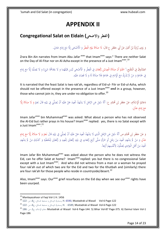# **APPENDIX II**

## <span id="page-13-1"></span><span id="page-13-0"></span>**Congregational Salat on Eidain (واالضحى الفطر (**

وَ رَوَى زُرَارَةُ بْنُ أَعْيَنَ عَنْ أَبِي جَعْفَرٍ ع قَالَ: لَا صَلَاةَ يَوْمَ الْفِطْرِ وَ الْأَضْحَى إِلَّا مَعَ إِمَامٍ عَادِلٍ. َ َ َ **ٔ** َ ْ ب َ َ ا<br>ا ،<br>' با<br>ا ِ ∫<br>≃ َ م<br>ا ِ إ َ ا<br>ا َ

Zrara Bin Ain narrates from Imam Abu Jafar asws that Imam<sup>asws</sup> says:" There are neither Salat on the Day of Al-Fitar nor on Al-Azha except in the presence of a Just Imam<sup>asws</sup>.<sup>19</sup>

الصَّدُوقُ فِي الْمُقْنِعِ،" اعْلَمْ أَنَ صَلَاةَ الْعِيدَيْنِ رَكْعَتَانِ فِي الْفِطْرِ وَ الْأَضْحَى لَيْسَ قَبْلَهُمَا وَ لَا بَعْدَهُمَا شَيْءٌ وَ لَا يُصَلَّيَا إِلَّا مَعَ إِمَامٍ ∫<br>∽ ن .<br>أ <sup>أ</sup> ا<br>ا َ ا<br>ا ي ٔ<br>ا ِ <u>ً</u> ت َ َ ْ ا<br>ا **ٔ** ا<br>ا ٍ<br>م **ٔ** ب َ َ ِ م<br>ا ِ إ َ  $\mathbf{r}$ ∶ٌ ي ا<br>ا َ فِي جَمَاعَةٍ وَ مَنْ لَمْ يُدْرِكْ مَعَ الْإِمَامِ فِي جَمَاعَةٍ فَلَا صَلَاةً لَهُ وَ لَا قَضَاءَ عَلَيْهِ.<br>\* ِ **ٔ** ر<br>ا </sub> َ ة<br>أ ا<br>ا ; ر<br>ا ام<br>ا  $\zeta$ ا<br>ا ي **أ** ْ ام<br>ا َ <sub>2</sub> ِ<br>گ

It is narrated that the feast Salat is two rak'ah, regardless of Eid-ul- Fitr or Eid-ul-Azha, which should not be offered except in the presence of a Just Imam<sup>asws</sup> and in a group, however, those who cannot join in, they are under no obligation to offer.<sup>20</sup>

َ دَعَائِمُ الْإِسْلَامِ، عَنْ جَعْفَرِ بْنِ مُحَمَّدٍ ع: أَنَّهُ سُئِلَ عَنِ الرَّجُلِ لَا يَشْهَدُ الْعِيدَ هَلْ عَلَيْهِ أَنْ يُصَلِّيَ فِي بَيْتِهِ قَالَ نَعَمْ وَ لَا صَلَاةَ إِلَّا ال<br>ا َ ا<br>ا ∫<br>∫ ر<br>ا ٍ ْ ر<br>ا ٍ ) ِ ئ ْ َ َ ِ ِ ت ؘ۠ؖ**ؚ** ي ا<br>ا َ ا<br>ا ِ **ٔ** د<br>ا **ٔ** ِ َ َ ة<br>أ ام<br>ا  $\zeta$ مَعَ إِمَامٍ عَدْلٍ. َ َ ِ إ

Imam Jafar<sup>asws</sup> bin Muhammad<sup>asws</sup> was asked: What about a person who has not observed the Al-Eid but rather prays in his house? Imam<sup>asws</sup> replied: yes, there is no Salat except with a Just Imam<sup>asws</sup>.<sup>21</sup>

وَ عَنْ جَعْفَرِ بْنِ مُحَمَّدٍ ص أَنَّهُ سُئِلَ عَنِ الرَّجُلِ الَّذِي لَا يَشْهَدُ الْعِيدَ هَلْ عَلَيْهِ أَنْ يُصَلِّيَ فِي بَيْتِهِ قَالَ نَعَمْ وَ لَا صَلَاةً إِلَّا مَعَ إِمَامٍ ْ َ **ٔ** َ َ َ ∫ </sub> ٍ<sup>ا</sup> ِ ما با با َ ∫ ِ ت .<br>: ي ا<br>ا َ ام<br>ا ∫<br>} **ٔ** </sub> **ٔ** ِ ْ َ َ ة<br>ا َ م<br>أ  $\overline{\phantom{a}}$ ِ إ عَدْلٍ وَ مَنْ لَمْ يَشْهَدِ الْعِيدَ مِنْ رَجُلٍ أَوِ امْرَأَةٍ صَلَّى أَرْبَعَ رَكَعَاتٍ فِي بَيْتِهِ رَكْعَتَيْنِ لِلْعِيدِ وَ رَكْعَتَيْنِ لِلْحُطْبَةِ وَ كَذَلِكَ مَنْ لَمْ يَشْهَدِ َ َ ِ ِ ِ ل ت َ َ ِ ∫ ت ؙ**ۧ** ي َ َ َ َ ا<br>ا ب .<br>أ ا<br>ا َ ا<br>ا .<br>ا ∫<br>∧ ِ ِ  $\overline{\phantom{a}}$ ي ْ ْ ا<br>ا َ ∫ َ ي **أ** .<br>ا ام<br>ا ِ َ ¦ ؘ<br>֧ ِ ل ت َ الْعِيدَ مِنْ أَهْلِ الْبَوَادِي يُصَلُّونَ لِأَنْفُسِهِمْ أَرْبَعاً. َ ب .<br>ا <sup>أ</sup> ا<br>ا ∫<br>∍ ا<br>ز َ ر<br>ا ْ ِ ِ

Imam Jafar Bin Muhammad<sup>asws</sup> was asked about the person who he does not witness the Eid, can he offer Salat at home? Imam<sup>asws</sup> replied: yes but there is no congressional Salat except with a Just Imam<sup>asws</sup>. And who did not witness from a man or a woman he prayed four rak'ah out of which two are for the Eid and two for the Khutbah and (similarly) there are four rak'ah for those people who reside in countryside/desert. $^{22}$ 

Also, Imam<sup>asws</sup> says: Our<sup>asws</sup> grief resurfaces on the Eid day when we see our<sup>asws</sup> rights have been usurped.

<sup>-</sup><sup>19</sup> Manlayazahoor ul Faqi Vol-1 H. 1456

<sup>-122</sup>Page -6Vol Wasail ul Mustadrak 6590, .H ,مستدرك الوسائل و مستنبط املسائل، ج،6 ص: 122 <sup>20</sup>

 $^{-21}$  122 مستدرك الوسائل و مستنبط المسائل، ج6، ص: 122 $\sim$ , H. -6589, Mustadrak ul Wasail Vol-6 Page 2122

<sup>&</sup>lt;sup>22</sup> 186 :ص اله الإسلام، ج1، ص 286-186 Austadrak ul Wasail Vol-6 Page-144. 5) Bihar Vol-87 Page-375. 6) Daimul Islam Vol Page-186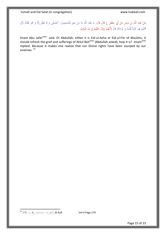#### عَنْ عَبْدِ اللَّهِ بْنِ دِينَارٍ عَنْ أَبِي جَعْفَرٍ ع قَالَ قَالَ: يَا عَبْدَ اللَّهِ مَا مِنْ عِيدٍ لِلْمُسْلِمِينَ– أَضْحًى وَ لَا فِطْرٍ إِلَّا وَ هُوَ يُجَدِّدُ لِإِٓلِ ق<br>أ َ َ **ٔ** َ ْ :<br>أ ∫, ْ ب ِ ِ .<br>أ ب َ ْ ا ا<br>ا ِ ل ٍ <u>ّ</u> ِ ام<br>ا ِ ٔ<br>ا **ٔ** ب ً<br>گ ُپا َ َ َ ِ َ مُحَمَّدٍ فِيهِ حُزْناً قُلْتُ وَ لَمَ ذَاكَ قَالَ لِأَنَّهُمْ يَرَوْنَ حَقَّهُمْ فِي يَدِ غَيْرِهِمْ. َ  $\overline{\phantom{a}}$ **ٍ** َ ْ ِ ِ **ٍ** <sup> $\mathfrak{c}$ </sup> َ ا<br>ا <sup> $\mathfrak{c}$ </sup> َ ِ ِيا ي ْ ِ ْ

Imam Abu Jafar<sup>asws</sup> said: O! Abdullah, either it is Eid-ul-Azha or Eid-ul-Fitr of Muslims, it should refresh the grief and sufferings of Ahlul Bait<sup>asws</sup> (Abdullah asked), how it is? Imam<sup>asws</sup> replied: Because it makes one realise that our Divine rights have been usurped by our enemies. <sup>23</sup>

<u>.</u>  $^{23}$  170 -4Page -170 ,الكافي (ط – الإسلامية)، ج4، ص: 170  $^{\sf 23}$ 

Page 15 of 23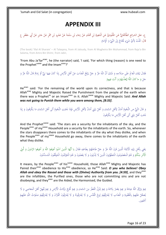# **APPENDIX III**

<span id="page-15-0"></span>ْ ع، علل الشرائع الطَّالَقَانِيُّ عَنِ الجُلُودِيِّ عَنِ الْمُغِيرَةِ بْنِ مُحَمَّدٍ عَنْ رَجَاءٍ بْنِ سَلَمَةَ عَنْ عَمْرِو بْنِ شِمْرٍ عَنْ جَابِرٍ عَنْ أَبِي جَعْفَرٍ ع ا<br>ا **ٔ** ا<br>ا ٔ<br>ا **ٔ** ب ِ َ **ٔ ٍ** ْ ب ِ <u>ب</u> ِ گ<br>ا ِ َنا َ نم<br>م َ <u>:</u> َ **ٔ** قَالَ: قُلْتُ لِأَيِّ شَيْءٍ يُخْتَاجُ إِلَى النَّبِيِّ وَ الْإِمَامِ َ ْ َ ام<br>ا َ ِ إ : ت ا<br>ا ِ<br>ء

(The book) 'Illal Al Sharaie' – Al Talaqany, from Al Jaloudy, from Al Mugheira Bin Muhammad, from Raja'a Bin Salama, from Amro Bin Shimr, from Jabir,

'From Abu Ja'far<sup>asws</sup>, he (the narrator) said, 'I said, 'For which thing (reason) is one need to the Prophet<sup>saww</sup> and the Imam<sup>asws</sup>?'

فَقَالَ لِبَقَاءِ الْعَالَمِ عَلَى صَلَاحِهِ وَ ذَلِكَ أَنَّ اللَّهَ عَزَّ وَ حَلَّ يَرْفَعُ الْعَذَابَ عَنْ أَهْلِ الْأَرْضِ إِذَا كَانَ فِيهَا نَبِيٌّ أَوْ إِمَامٌ قَالَ اللَّهُ عَزَّ وَ .<br>. ْ .<br>أ َ <u>ّا</u> ا<br>ا َ َ َ َ ِ َ ∫<br>∙ ا<br>ا َ َ ِ .<br>أ َ ب ِ ِ<br>م َ َ ام<br>ا ِ إ <u>ٔ</u> ڹ<br>֧֧֪ׅ֚֚֚֚֚֚֚֚֚֚֚֡֡֡֡֡֡֡֡֡֟֓֡֡֡֡֟֟֟֟֓֡֡֡֟֓֡֟֡֟֓֡֡֟֓֞֟֓֡֡֡֟֞֟֓֞ َ ِ ِ إ ٍ ) جَلَ وَ ماكانَ اللَّهُ لِيُعَذِّبَهُمْ وَ أَنْتَ فِيهِمْ َ ِ .<br>أ َ <sup>أ</sup> َ َ ي ِ ل َ ْ ي

He<sup>asws</sup> said: 'For the remaining of the world upon its correctness, and that is because Allah<sup>azwj</sup> Mighty and Majestic Raised the Punishment from the people of the earth when there was a Prophet<sup>as</sup> or an Imam<sup>asws</sup> in it. Allah<sup>saww</sup> Mighty and Majestic Said: And Allah *was not going to Punish them while you were among them, [8:33]*.

وَ قَالَ النَّبِيُّ ص النُّجُومُ أَمَانٌ لِأَهْلِ السَّمَاءِ وَ أَهْلُ بَيْتِي أَمَانٌ لِأَهْلِ الْأَرْضِ فَإِذَا ذَهَبَتِ النُّجُومُ أَتَى أَهْلَ السَّمَاءِ مَا يَكْرَهُونَ وَ إِذَا ا<br>ا ب َ ِ َ ر<br>ا ْ ام<br>ا **ٔ** ي ا<br>ا َ ِ ا<br>ا ْ ام<br>ا ن<br>ا َ **ै**  $\overline{\phantom{0}}$ ِ إ َ َ ب<br>ا م<br>ا ِ ذَهَبَ أَهْلُ بَيْتِي أَتَى أَهْلَ الْأَرْضِ مَا يَكْرَهُونَ َ َ ا<br>ا .<br>ا ٍ ) ْ ي ا<br>ا َ

And the Prophet<sup>saww</sup> said: 'The stars are a security for the inhabitants of the sky, and the People<sup>asws</sup> of my<sup>saww</sup> Household are a security for the inhabitants of the earth. So, whenever the stars disappears there comes to the inhabitants of the sky what they dislike, and when the People<sup>asws</sup> of my<sup>saww</sup> Household go away, there comes to the inhabitants of the earth what they dislike.

ة<br>أ يَعْنِي بِأَهْلِ بَيْتِهِ الْأَئِمَّةَ الَّذِينَ قَرَنَ اللَّهُ عَزَّ وَ جَلَّ طَاعَتَهُمْ بِطَاعَتِهِ فَقَالَ يا أَيُّهَا الَّذِينَ آمَنُوا أَطِيعُوا الظَّهُ وَ أَطِيعُوا الرَّسُولَ وَ أُولِي ِ ِ ِ ت <u>ّ</u> ي ا ِ **ٔ** ُبا<br>ا نم<br>عم ∫ ِ ت ي<br>أ ب <sup> $\mathfrak{c}$ </sup> ت ُ<br>گ َ َ َ َ ∫ َ َ َ ن ام<br>ا َ ∫<br>∙ َ يَعْنِي بِأَهْلِ بَيْتِهِ الْأَئِمَّةَ الَّذِينَ قَرَنَ اللَّهُ عَزَّ وَ حَلَّ طَاعَتَهُمْ بِطَاعَتِهِ فَقَالَ يا أَيُّهَا الَّذِينَ آمَنُوا أَطِيعُوا اللَّهَ وَ أَم<br>الْأَمْرِ مِنْكُمْ وَ هُمُ الْمَعْصُومُونَ الْمُطَهَّرُ ن ∫<br>∕ ا<br>ا اب<br>ا َ ب ِ َ ِ ا<br>ا َ ا<br>ا َ ي َ َ

It means, by the People<sup>asws</sup> of his<sup>saww</sup> Household, those Allah<sup>azwj</sup> Mighty and Majestic has Paired their<sup>asws</sup> obedience to His<sup>azwj</sup> obedience, so He<sup>azwj</sup> Said: O you who believe! Obey Allah and obey the Rasool and those with (Divine) Authority from you. [4:59], and they<sup>asws</sup> are the infallibles, the Purified ones, those who are not committing sins and are not disobeying, and they<sup>asws</sup> are the Aided, the Harmonised, the Guided.

يَمِمْ يَرْزُقُ اللَّهُ عِبَادَهُ وَ يَمِمْ يَعْمَرُ بِلَادَهُ وَ يَمِمْ يُنْزِلُ الْقَطْرَ مِنَ السَّمَاءِ وَ يَمِمْ تُخْرَجُ بَرَكَاتُ الْأَرْضِ وَ يَمِمْ يُمْهِلُ أَهْلَ الْمَعَاصِي وَ لَا<br>. .<br>أ َ <sup>(</sup> َ .<br>ا ر<br>. َ ْ َ ِ َ َ ِ َ <u>ّ</u> ن <sup>(</sup> </sub> ا<br>ا ِ ب ا<br>ا **ٔ** ا <sup>(</sup> </sub> ا<br>ا ا<br>ا ب َ َ **ै** ٍ ) <sup> $\mathfrak{c}$ </sup> يُعَجِّلُ عَلَيْهِمْ بِالْعُقُوبَةِ وَ الْعَذَابِ لَا يُفَارِقُهُمْ رُوحُ الْقُدُسِ وَ لَا يُفَارِقُونَهُ وَ ل<br>ِ َ <sup>(</sup> َ َ َ ِ با<br>ا ∫<br>¦ ب <sup>(</sup> **ٔ** َ َ ْ **ٔ** َ <u>ہ</u> ا َ ا<br>ا َ َ ر<br>ا .<br>م َ َ ِني. ع ْْجَ أَ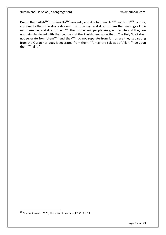Due to them Allah<sup>azwj</sup> Sustains His<sup>azwj</sup> servants, and due to them He<sup>azwj</sup> Builds His<sup>azwj</sup> country, and due to them the drops descend from the sky, and due to them the Blessings of the earth emerge, and due to them<sup>asws</sup> the disobedient people are given respite and they are not being hastened with the scourge and the Punishment upon them. The Holy Spirit does not separate from them<sup>asws</sup> and they<sup>asws</sup> do not separate from it, nor are they separating from the Quran nor does it separated from them<sup>asws</sup>, may the Salawat of Allah<sup>azwj</sup> be upon themasws all".<sup>24</sup>

 $24$  Bihar Al Anwaar – V 23, The book of Imamate, P 1 Ch 1 H 14

1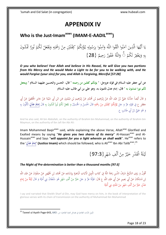## **APPENDIX IV**

#### <span id="page-17-1"></span><span id="page-17-0"></span>**Who is the Just-Imamasws (IMAM-E-AADILasws)**

ْ لَ ُكم َل ع َُي و ه ْْحَ ر ن م ْنيِ لَ ف كِ ُكم ؤ ُ ي ه ول ُ س ر ُوا ب آم و ه َّ ُوا الل َّ ق ُوا ات آم ين ذِ َّ ا ال ه ُّ ا أَي ُشوَن ي ا ََتْ ُور ْ ٔ<br>أ َ ِ ِ<br>بر :<br>.<br>. َ  $\ddot{\phantom{0}}$  $\overline{\phantom{a}}$ .<br>ع ْ ِ.<br>ن ت ة<br>م ِ ل ر<br>ا ِ<br>بہ و<br>م  $\mathcal{L}$ َ  $\ddot{\phantom{0}}$ و<br>مذ ۸<br>ب  $\ddot{\varsigma}$ َ يا<br>. ً ن ْ بِهِ وَيَغْفِرْ لَكُمْ ۚ وَاللَّهُ غَفُورٌ رَحِيمٌ { .<br>.<br>. ِ یہ<br>: ٍ<br>ر ِ ِب وَاللَّهُ غَفُورٌ رَحِيمٌ  $\{28\}$ ٍ<br>ر

*O you who believe! Fear Allah and believe in His Rasool, He will Give you two portions from His Mercy and He would Make a Light to be for you to be walking with, and He would Forgive (your sins) for you, and Allah is Forgiving, Merciful [57:28]* 

**عن أبي جعفر عليه السالم في قوله عزوجل: " يؤتكم كفلين من رحمته " قال: الحسن والحسين عليهما السالم " ويجعل لكم نورا تمشون به " قال: إمام عدل تأتمون به، وهو علي بن أبي طالب عليه السالم**

ٔ. وَ قَالَ أَيْضاً حَدَّثَنَا عَلِيُّ بْنُ عَبْدِ اللَّهِ عَنْ إِبْرَاهِيمَ بْنِ مُحَمَّدٍ عَنْ إِبْرَاهِيمَ بْنِ مَيْمُونٍ عَنِ ابْنِ أَبِي شَيْبَةَ عَنْ جَابِرٍ الْحُعْفِيِّ عَنْ أَبِي<br>وَ قَالَ أَيْضاً حَدَّثَنَا عَلِيُّ ْ ب ا ِ َ **ٔ** ِ إ ْ ِ ِ **ٔ** ب ا<br>ا ب ِ ا<br>أ :<br>أ َ ن<br>أ َ <u>ّ</u> ِ **ٔ** َ ؘ<br>֧ ب **ٔ** ا<br>ا َ **ٔ** ي ام<br>ا ْ ب ا ِ َ **ٔ** ِ إ ْ **ٍ** جَعْفَرٍ ع فِي قَوْلِهِ عَزَّ وَ حَلَ يُؤْتِكُمْ كِفْلَيْنِ مِنْ رَحْمَتِهِ قَالَ الْحَسَنُ وَ الْحُسَيْنُ وَ يَجْعَلْ لَكُمْ نُوراً مَّشْونَ بِهِ قَالَ <mark>إِمَامُ عَلْلٍ</mark> تَأْمَّوُنَ بِهِ .<br>م **ٔ** َ ٍ<sup>ا</sup> َ َ َ ِ l ل **ٔ** ْ ِ ت ْ َ ْ ِ ِ ِ ت ُ<br>ا َ ا<br>ا َ ٍ<br>پ ِ ن ْ **ٔ** <u>ٔ</u> َ َ **َ ِ إ** ∫ ِ ِّ ت وَ هُوَ عَلِيُّ بْنُ أَبِي طَالِبٍ ع. ِ ب ِ ک<br>ا َ َ

And he also said, Ali bin Abdullah, on the authority of Ibrahim bin Muhammad, on the authority of Ibrahim bin Maymun, on the authority of Ibn Jafi Ibn Abi Ali:

Imam Mohammed Bagir<sup>asws</sup> said, while explaining the above Verse, Allah<sup>azwj</sup> Glorified and Exalted means by saying "*He gives you two shares of its mercy*" Al-Hassan<sup>asws</sup> and Al-Hussain<sup>asws</sup> and Says "will appoint for you a light wherein ye shall walk". He<sup>asws</sup> refers to the 'إِمَامُ عَدْلٍ' **(Justice Imam)** which should be followed, who is Ali<sup>asws</sup> Ibn Abi Talib<sup>asws</sup>.<sup>25</sup> **َ ِ**

> لَيْلَةُ الْقَدْرِ خَيْرٌ مِنْ أَلْفِ شَهْرٍ {97:3} **€** ْ  $\mathcal{L}$ **ٔ** َ **ٔ**

#### *The Night of Pre-determination is better than a thousand months [97:3]*

ٔ<br>أ أَقُولُ وَ رَوَى الشَّيْخُ شَرَفُ الدِّينِ رَحِمَهُ اللَّهُ فِي كِتَابِ تَأْوِيلِ الْآيَاتِ الْبَاهِرَةِ بِإِسْنَادِهِ عَنْ مُحَمَّدِ بْنِ جُمْهُورٍ عَنْ صَفْوَانَ عَنْ عَبْدِ اللَّهِ<br>. <u>:</u> ِ ∫<br>≃ ٔ<br>ا ن ا<br>ا ِ<br>پ ب َ ِ ؘ<br>֧ يا<br>. َ <u>با</u> ت َ َ َ َ ِ ِ ْ ب َ <u>:</u> ا َ ام<br>ا اب<br>ا ب ِ نِ مُسْكَانَ عَنْ أَبِي بَصِيرٍ عَنْ أَبِي عَبْدِ اللَّهِ ع قَالَ: قَوْلُهُ عَزَّ وَ حَلَ خَيْرٌ مِنْ أَلْفِ شَهْرٍ هُوَ سُلْطَانُ بَنِي أُمَيَّةَ وَ قَالَ لَيْلَةٌ مِنْ إِمَامٍ َ ِ ِ .<br>أ ب ي<br>ا ْ َ ْ ا<br>ا ْ ب ،<br>' ٍ ) َ َ </sub> ْ .<br>ا ِ َ َ ي َ **ٔ** َ **ٔ** .<br>ا ِ  $\overline{\phantom{a}}$ ِ إ عَدْلٍ خَيْرٌ مِنْ أَلْفِ شَهْرٍ مِنْ مُلْكِ بَنِي أُمَيَّةَ ∫<br>∕ **ٰ** ِ  $\overline{\mathsf{I}}$ َ ب <u>:</u> ي َ

I say and narrated that Sheikh Sharf al-Din, may God have mercy on him, in the book of interpretation of the glorious verses with its chain of transmission on the authority of Muhammad Ibn Muhammad

تأويل الآيات الظاهرة في فضائل العترة الطاهرة، ص: 643, 643-Taveel ul Ayath Page <sup>25</sup>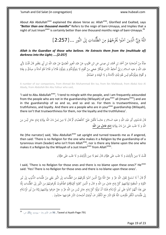About Abi Abdullah<sup>asws</sup> explained the above Verse as: Allah<sup>azwj</sup>, Glorified and Exalted, says *"Better than one thousand months"* Refers to the reign of bani-Umayya, and Implies that a night of Just Imam<sup>asws</sup> is certainly better than one thousand months reign of bani-Umayya.<sup>26</sup>

> اللَّهُ وَلِيُّ الَّذِينَ آمَنُوا يُخْرِجُهُمْ مِنَ الظُّلُّمَاتِ إِلَى النُّورِ ...{2:257}  $\sim$ َ  $\overline{\phantom{a}}$ ْ و<br>م  $\overline{\phantom{a}}$  $\ddot{\phantom{0}}$ ِّي

*Allah is the Guardian of those who believe. He Extracts them from the (multitude of) darkness into the Light; ....[2:257]*

َ عِدَّةٌ مِنْ أَصْحَابِنَا عَنْ أَحْمَدَ بْنِ مُحَمَّدِ بْنِ عِيسَى عَنِ ابْنِ مَخْبُوبٍ عَنْ عَبْدِ الْعَبْدِيِّ عَنْ عَبْدِ اللَّهِ بْنِ أَبِي يَعْفُورٍ قَالَ قُلْتُ لِأَبِي ِ ْ ب َ َ ِ ْ ب </sub><br>گ .<br>.<br>. **ٔ** َ  $\ddot{\phantom{1}}$ ْ ب ∫<br>∙ ْ ب **ـ** ْ .<br>. ن :<br>ٻا َ ْ ِ ْ با<br>أ **ٔ** ب ِ ∫<br>∙ ْ ب َ ْ َ لَّ و<br>د عَبْدِ اللَّهِ ( عليه السلام ) إِنِّي أُخَالِطُ النَّاسَ فَيَكْثُرُ عَجَبِي مِنْ أَقْوَامٍ لَا يَتَوَلَّوْنَكُمْ وَ يَتَوَلَّوْنَ فُلاناً وَ فُلَاناً لَهُمْ أَمَانَةٌ وَ صِدْقٌ وَ وَفَاءٌ<br>. با<br>أ َ ْ ن <u>ٔ</u> َ َ ْ ِ َ ي َ .<br>-ِ َ ׀<sup>ֳ</sup> ِ ِ .<br>. ب َ َ َ َ َ  $\overline{a}$ ْ َ ْ وَ أَقْوَامٌ يَتَوَلَّوْنَكُمْ لَيْسَ لَهُمْ تِلْكَ الْأَمَانَةُ وَ لَا الْوَفَاءُ وَ الصِّدْقُ  $\overline{\phantom{0}}$ ْ ن <u>ٔ</u> َ َ َ َ َ َ ر<br>ر َ  $\overline{\phantom{a}}$  $\overline{\mathsf{l}}$ ŀ ت <sup>(</sup>

A number of our companions, from Ahmad Bin Muhammad Bin Isa, from Ibn Mahboub, from Abdul Aziz Al Abady, from Abdullah Bin Abu Yafour who said,

'I said to Abu Abdullah<sup>asws</sup>, 'I tend to mingle with the people, and I am frequently astounded from the people who are not in the guardianship (Wilayah) of you<sup>asws</sup> all (Imams<sup>asws</sup>) and are in the guardianship of so and so, and so and so. For them is trustworthiness, and truthfulness, and loyalty. And there are a people who are in your<sup>asws</sup> guardianship (Wilayah), there isn't that trustworthiness for them, nor the loyalty and the truthfulness'.

ِ ل َ قَالَ فَاسْتَوَى أَبُو عَبْدِ اللَّهِ ( عليه السلام ) جَالِساً فَأَقْبَلَ عَلَيَّ كَالْغَضْبَانِ ثُمَّ قَالَ لا دِينَ لِمَنْ دَانَ اللَّهَ بِوَلَايَةِ إِمَامٍ جَائِرٍ لَيْسَ مِنَ<br>. **∶** َ  $\ddot{\phantom{0}}$ َ  $\overline{\phantom{0}}$ .<br>ا َ ِ َ ِ ِ .<br>. ب </sub><br>د **ٔ** َ .<br>أ َ ِ<br>ِم <u>َ</u> ر<br>ئو َ  $\overline{\phantom{a}}$ ا إ  $\ddot{a}$ يا<br>. َ ِ ب َ ا  $\ddot{ }$ .<br>.<br>. ٍ<br>م ; اللَّهِ وَ لَا عَتْبَ عَلَى مَنْ دَانَ بِوَلَايَةِ إِ<mark>مَامٍ عَادِلٍ مِنَ اللَّهِ</mark> یا<br>-ر<br>ر ِ ا َ ْ ا<br>ا د<br>ا َ ت َ َ ِ **ِ َ ِ َ َ ِ إ**

He (the narrator) said, 'Abu Abdullah<sup>asws</sup> sat upright and turned towards me as if angered, then said: 'There is no Religion for the one who makes it a Religion by the guardianship of a tyrannous imam (leader) who isn't from Allah<sup>azwj</sup>, nor is there any blame upon the one who makes it a Religion by the Wilayah of a Just Imam<sup>asws</sup> from Allah<sup>azwj</sup>.

> ِ قُلْتُ لَا دِينَ لِأُولَئِكَ وَ لَا عَتْبَ عَلَى هَؤُلَاءِ قَالَ نَعَمْ لَا دِينَ لِأُولَئِكَ وَ لَا عَتْبَ عَلَى هَؤُلَاءِ **م** َ َ ت َ َ ِ َ ∫<br>∹ ْ َ ن<br>ن ِ ۵<br>ا َ َ ت َ َ ِ َ ∫<br>∹

I said, 'There is no Religion for those ones and there is no blame upon these ones?' He<sup>asws</sup> said: 'Yes! There is no Religion for those ones and there is no blame upon these ones'.

׀<br>ֲ مُّ قَالَ أَ لَا تَسْمَعُ لِقَوْلِ اللَّهِ عَزَّ وَ جَلَّ اللَّهُ وَلِيُّ الَّذِينَ آمَنُوا يُخْرِجُهُمْ مِنَ الظُّلُماتِ إِلَى النُّورِ يَعْنِي مِنْ ظُلُمَاتِ الذُّنُوبِ إِلَى نُورِ َ ِ ْ ن  $\overline{\phantom{a}}$ َ ِ رُ َ َ ِ <u>ٔ</u> ؚ<br>ئا ل  $\ddot{\phantom{0}}$ **ٔ** َ اِ **ً** .<br>-<br>-ِ<br>ِم ْ ب<br>-َ التَّوْبَةِ وَ الْمَغْفِرَةِ لِوَلَايَتِهِمْ كُلَّ إِمَامٍ عَادِلٍ مِنَ اللَّهِ وَ قَالَ وَ الَّذِينَ كَفَرُوا أَوْلِياؤُهُمُ الطَّاغُوتُ يُخْرِجُونَهُمْ مِنَ النُّورِ إِلَى الظُّلُماتِ إِمَّا ِ َ ب <u>ٔ</u> ِ<br>ل ل <u>ٔ</u> َ ∫<br>∙ َ َ َ ِ :<br>. ِ **∶** َ ا<br>ا Į, إ <sup>(</sup> ِ ت نة<br>أ َ ِ ل َ ِ ا<br>ا ٍٍ<br>≀ٍ :<br>ا ِ ْ لَّ ر<br>ر عَنَى بِمَذَا أَنَّهُمْ كَانُوا عَلَى نُورِ الْإِسْلَامِ فَلَمَّا أَنْ تَوَلَّوْا كُلَّ إِمَامٍ حَائِرٍ لَيْسَ مِنَ اللَّهِ عَزَّ وَ حَلَّ خَرَجُوا بِوَلَايَتِهِمْ إِيَّاهُ مِنْ نُورِ الْإِسْلَامِ َ **ٔ** َ ْ َ َ **ٔ** م<br>ز <u>:</u> ِ ي ِ إ ْ ِ ت ب:<br>أ َ ِ ُ<br>ن َ َ َ ِ َ ٍ<br>ृ <u>َ</u> ر<br>نو َ  $\overline{\phantom{a}}$ ِ إ ا ْ إِلَى ظُلُمَاتِ الْكُفْرِ فَأَوْجَبَ اللَّهُ لَهُمُ النَّارَ مَعَ الْكُفَّارِ فَ أُولئِكَ أَصْحابُ النَّارِ هُمْ فِيها خالِدُونَ . ِ ِ<br>ف ْ ِ  $\zeta$  $\overline{\phantom{a}}$ .<br>. ً<br>أ َ .<br>أ ا<br>ا

 26 -791Page Ayath ul Taveel , 96 حبار اْلنوار )ط - بريوت(، ج،25 ص: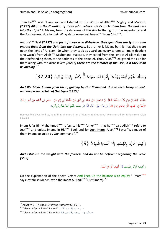Then he<sup>asws</sup> said: 'Have you not listened to the Words of Allah<sup>azwj</sup> Mighty and Majestic *[2:257] Allah is the Guardian of those who believe. He Extracts them from the darkness into the Light*? It Means, from the darkness of the sins to the light of the repentance and the Forgiveness, due to their Wilayah for every just Imam<sup>asws</sup> from Allah<sup>azwj</sup>.

And He<sup>azwj</sup> Said *[2:257] and (as to) those who disbelieve, their guardians are tyrants who extract them from the Light into the darkness*. But rather it Means by this that they were upon the light of Al-Islam. So when they took as guardians every tyrannical imam (leader) who wasn't from Allah<sup>azwj</sup> Mighty and Majestic, they exited from the light of Al-Islam due to their befriending them, to the darkness of the disbelief. Thus, Allah<sup>azwj</sup> Obligated the Fire for them along with the disbelievers *[2:257] these are the inmates of the Fire, in it they shall be abiding*'.**<sup>27</sup>**

> وَجَعَلْنَا مِنْهُمْ أَئِمَّةً يَهْدُونَ بِأَمْرِنَا لَمَّا صَبَرُوا ۞ وَكَانُوا بِآيَاتِنَا يُوقِنُونَ {32:24}  $\ddot{\cdot}$  $\ddot{\phantom{0}}$ ني<br>أ ام<br>ا ِ<br>با **€** یہ<br>:  $\ddot{\epsilon}$ ِ<br>ئ ْ ِ<br>∧  $\ddot{\phantom{0}}$ َ َ و<br>م ِ  $\ddot{ }$ ن ِ<br>نا يا<br>. ِ و<br>ر

*And We Made Imams from them, guiding by Our Command, due to their being patient, and they were certain of Our Signs [32:24]*

<u>:</u> حَدَّثَنَا حُمَّيْدُ بْنُ زِيَادٍ قَالَ: حَدَّثَنَا مُحَمَّدُ بْنُ الْحُسَيْنِ عَنْ مُحَمَّدِ بْنِ يَحْيَى عَنْ<br>يَحْمَدُ الْجَمَّيْدُ بْنُ زِيَادٍ قَالَ: حَدَّثَنَا مُحَمَّدُ بْنُ الْحُسَيْنِ عَنْ مُحَمَّدِ بْنِ غَلْلُ عَ َ ْ َ ْ ب ∫ .<br>أ ب :<br>ا َ ن<br>أ .<br>; َيا<br>. ب **ٔ** ي ٔ<br>ا َ .<br>∍ ا<br>ا ي .<br>ن ا<br>ا ً<br>ٍ ِّ ْ .<br>پ ا<br>ا .<br>م ْ َ َ الْأَئِمَّةُ فِي كِتَابِ اللَّهِ إِمَامَانِ إِمَامٌ عَدْلٌ وَ إِمَامٌ جَوْزٌ- قَالَ اللَّهُ «وَ جَعَلْنا مِنْهُمْ أَئِمَّةً يَهْدُونَ بِأَمْرِنا» ِ ٔ<br>ا ت ِ َ ام<br>ا ِ إ َ **ٔ** َ ام<br>ا ِ إ َ َ ام<br>ا ِ ْ َ <u>ة</u> ِ ْ ن ِ<br>ٌ َ َ َ

Hameed bin Ziyad told us, he said: Muhammad ibn al-Husayn told us about Muhammad ibn Yahya from Talah bin Zaid

Imam Jafar Bin Muhammad<sup>asws</sup> refers to his<sup>asws</sup> father<sup>asws</sup> that he<sup>asws</sup> said Allah<sup>azwj</sup> refers to Just**asws** and unjust Imams in His**azwj** Book and for **Just Imam**, Allah**azwj** Says: "We made of them Imams to guide by Our command". $^{28}$ 

> وَأَقِيمُوا الْوَزْنَ بِالْقِسْطِ وَلَا تُخْسِرُوا الْمِيزَانَ {9} ا زا<br>. َ ْ ِ.<br>م ِ م<br>د ِ<br>ف َ

*And establish the weight with the fairness and do not be deficient regarding the Scale [55:9]*

> وَ أَقِيمُوا الْوَزْنَ بِالْقِسْطِ قَالَ أَقِيمُوا الْإِمَامَ الْعَدْل ا<br>ا ِ ِ َ ِ<br>في َ َ ِ َ ام<br>ا

On the explanation of the above Verse: And keep up the balance with equity " Imam<sup>asws</sup> says: establish (deeds) with the Imam Al-Aadil<sup>asws</sup> (Just Imam). <sup>29</sup>

 $^{27}$  Al Kafi V 1 – The Book Of Divine Authority CH 86 H 3

<sup>28</sup> Tafseer e Qummi Vol-2.Page-171, 171 :ص ، ج2، ص: 1. Tafseer e Qummi Vol-2.Page-171, 171

حار الأنوار (ط - بيروت)، ج16، ص: 88 Gafseer e Qummi Vol-2.Page-343, و29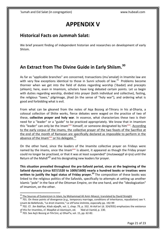# **APPENDIX V**

#### <span id="page-20-1"></span><span id="page-20-0"></span>**Historical Facts on Jummah Salat:**

We brief present finding of independent historian and researches on development of early Shiism.

## <span id="page-20-2"></span>**An Extract from The Divine Guide in Early Shiism.<sup>30</sup>**

As far as "applicable branches" are concerned, transactions (mu'amalat) in Imamite law are with very few exceptions identical to those in Sunni schools of law. $31$  Problems become thornier when we get into the field of duties regarding worship ('ibadat) and precepts (ahkam); here, even in Imamism, scholars have long debated certain points. Let us begin with duties regarding worship, divided into prayer (both individual and collective), fasting, the religious "taxes," pilgrimage, jihad (in the sense of "holy war"), and ordering what is good and forbidding what is evil.

From what can be gleaned from the notes of Aqa Bozorg al-Tihraru in his al-Dharia, a colossal collection of Shiite works, fierce debates were waged on the practice of two of these, **collective prayer and holy war**. In essence, what characterizes these two is their need for a "leader" or a "guide" to be practiced appropriately. We know that in Imamism this "leader" can only be the Imam<sup>asws</sup> himself, or someone designated by him<sup>asws</sup>. According to the early corpus of the imams, the collective prayer of the two feasts of the Sacrifice at the end of the month of Ramazan are specifically declared as impossible to perform in the absence of the Imam<sup>asws</sup> or his delegate.<sup>32</sup>

On the other hand, since the leaders of the Imamite collective prayer on Fridays were named by the imams, once the Imam<sup>asws</sup> is absent, it appeared as though the Friday prayer could no longer be practised, or that it was at least suspended" (mutawaqqif al-ijra) until the Return of the Mahdi<sup>ajfj</sup> and his designating new leaders for prayer.

**This situation prevailed throughout the pre-Safavid period, since at the beginning of the Safavid dynasty (circa 927/1520 to 1009/1600) nearly a hundred books or treatises were written to justify the legal status of Friday prayer.<sup>33</sup>** The composition of these books was linked to the religious politics of the Safavids, specifically to attempts at setting up another Islamic "pole" in the face of the Ottoman Empire, on the one hand, and the "ideologization" of Imamism, on the other.

1

<sup>&</sup>lt;sup>30</sup> The Sources of Esotericism in Islam, by Mohammad Ali Amir-Moezzi, translated by David Streight

 $31$  701. On these points of divergence (e.g., temporary marriage, conditions of inheritance, repudiation) see Y. Linant de Bellefonds, "Le droit imamite," Le shf'isme imilmite, especially pp. 192-99

 $32$  702. Cf. .Ibn Babfiye, Kitab aljaqfh, vol. 1, chap. 79, p. 332. AI-Ash'ari (d. 324/935) emphasizes the existence of this for Imamites, cf. Maqdlat al-islamiyyin, ed. 'Abd al-l:Iamid, p. 130.

 $33$  703. See Aq1i Bozorg al-Tihr1ini, a/-Dharf'a, vol. 15, pp. 62-82.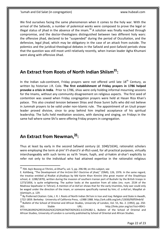We find ourselves facing the same phenomenon when it comes to the holy war. With the arrival of the Safavids, a number of polemical works were composed to prove the legal or illegal status of jihad in the absence of the imam.<sup>34</sup> A solution was finally reached through compromise, and the doctor-theologians distinguished between two different holy wars: the offensive jihad, declared to be "suspended" during the period of Occultation, and the defensive, legal jihad, which may be obligatory in the case of an attack from outside. The polemics and the juridical-theological debates in the Safavid and post-Safavid periods show that the question was still moot until relatively recently, when Iranian leader Agha Khumani went along with offensive Jihad.

## <span id="page-21-0"></span>**An Extract from Roots of North Indian Shiism<sup>35</sup> :**

In the Indian sub-continent, Friday prayers were not offered until late  $18<sup>th</sup>$  Century, as written by historian J.R. Cole. **The first establishment of Friday prayers in 1786 helped provoke a crisis in India**. Prior to 1786, shias were only holding informal mourning sessions for the Imams, without any community disagreement on religious aspects. The first seed of contention was sowed when Friday congregation prayers were held at Hasan Riza Khan's palace. This also created tension between Shias and those Sunni Sufis who did not believe in Jummah prayers to be valid under non-Islamic rule. The appointment of an Usuli prayer leader proved divisive, since to pray behind him implied acceptance of his spiritual leadership. The Sufis held meditation sessions, with dancing and singing, on Fridays in the same hall where some Shi'is were offering Friday prayers in congregation.

## <span id="page-21-1"></span>**An Extract from Newman,<sup>36</sup> :**

-

Thus at least by early in the second Safawid century (d. 1040/1634), rationalist scholars were employing the term al-jimi' li'l-sharct'ir al-iftct-used, for all practical purposes, virtually interchangeably with such terms as na'ih 'Imam, fuqih, and ul-hakim al-shar'i explicitly to refer not only to the individual who had attained expertise in the rationalist religious

<sup>&</sup>lt;sup>34</sup> 704. Aq1i Bozorg al-Tihriini, al-Dharf'a, vol. 5, pp. 296-98; on this subject, see

E. Kohlberg, "The Development of the Im1imi-Shi'i Doctrine of jihad," ZDMG, 126, 1976. In the same regard, the treatise entitled a/-Risdlat al-jihadiyya by Md Karim Khan Kinniini (the great master of the Shaykhiyya school, d. 1288/1870), written during the invasion of southern Iranian port of Bushahr by the British troops in 1273/1856, is quite enlightening. The author looks at the question from all sides (ms. num. 2534 of the Madrasa Sepahsalar in Tehran). A mention of aI-Ash'ari shows that for the early Imamites, holy war could only be waged under the direction of the imam, or someone specifically named by him; cf. a-Ash'ari, Maqdlat alislamiyyin, p. 129.

<sup>&</sup>lt;sup>35</sup> By Preferred Citation: Cole, J. R. I. Roots of North Indian Shi'ism in Iran and Iraq: Religion and State in Awadh, 1722-1859. Berkeley: University of California Press, c1988 1988. http://ark.cdlib.org/ark:/13030/ft0f59n6r9/

<sup>&</sup>lt;sup>36</sup> Bulletin of the School of Oriental and African Studies, University of London, Vol. 55, No. 2. (1992), pp. 250-261. Stable URL: [http://links.jstor.org/sici?sici=0041-](http://links.jstor.org/sici?sici=0041-977X%281992%2955%3A2%3C250%3ATNOTAD%3E2.0.CO%3B2-1) [977X%281992%2955%3A2%3C250%3ATNOTAD%3E2.0.CO%3B2-1,](http://links.jstor.org/sici?sici=0041-977X%281992%2955%3A2%3C250%3ATNOTAD%3E2.0.CO%3B2-1) Bulletin of the School of Oriental and African Studies, University of London is currently published by School of Oriental and African Studies.